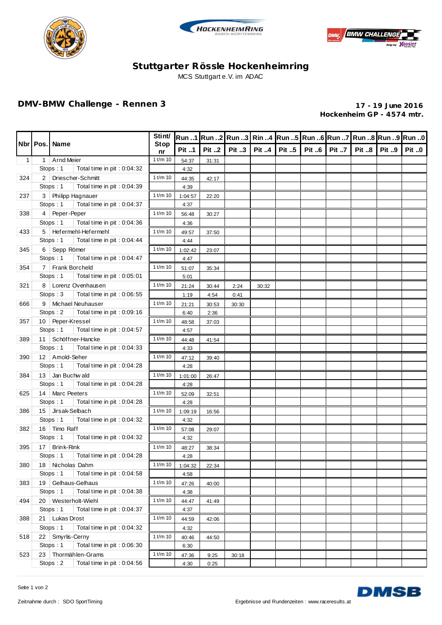





## **Stuttgarter Rössle Hockenheimring** MCS Stuttgart e.V. im ADAC

## **DMV-BMW Challenge - Rennen 3 17 - 19 June 2016**

**Hockenheim GP - 4574 mtr.**

|              | <b>Nbrl Pos.I Name</b> |                                                                    | Stint/<br><b>Stop</b><br>nr |               |              |          |              |                       | 0 Run 1  Run 2  Run 3   Rin 4  Run 5  Run 6  Run 7  Run 8  Run 9  Run 0 |              |              |
|--------------|------------------------|--------------------------------------------------------------------|-----------------------------|---------------|--------------|----------|--------------|-----------------------|-------------------------------------------------------------------------|--------------|--------------|
|              |                        |                                                                    |                             | <b>Pit 1</b>  | Pit 2        | Pit $.3$ | <b>Pit 4</b> | Pit 5   Pit 6   Pit 7 | <b>Pit 8</b>                                                            | <b>Pit 9</b> | <b>Pit 0</b> |
| $\mathbf{1}$ | 1 <sup>1</sup>         | Arnd Meier                                                         | $1$ t/m $10$                | 54:37         | 31:31        |          |              |                       |                                                                         |              |              |
|              |                        | Stops: 1<br>Total time in pit: 0:04:32                             |                             | 4:32          |              |          |              |                       |                                                                         |              |              |
| 324          |                        | 2   Driescher-Schmitt                                              | $1$ t/m $10$                | 44:35         | 42:17        |          |              |                       |                                                                         |              |              |
|              |                        | Stops: 1<br>Total time in pit: 0:04:39                             |                             | 4:39          |              |          |              |                       |                                                                         |              |              |
| 237          |                        | 3   Philipp Hagnauer                                               | $1$ t/m $10$                | 1:04:57       | 22:20        |          |              |                       |                                                                         |              |              |
|              |                        | Stops: 1<br>Total time in pit : 0:04:37                            |                             | 4:37          |              |          |              |                       |                                                                         |              |              |
| 338          |                        | 4   Peper-Peper                                                    | $1$ t/m $10$                | 56:48         | 30:27        |          |              |                       |                                                                         |              |              |
|              |                        | Stops: 1<br>Total time in pit: 0:04:36                             |                             | 4:36          |              |          |              |                       |                                                                         |              |              |
| 433          |                        | 5   Hefermehl-Hefermehl<br>Stops: 1<br>Total time in pit : 0:04:44 | $1$ t/m $10$                | 49:57         | 37:50        |          |              |                       |                                                                         |              |              |
|              |                        | 6 Sepp Römer                                                       | $1$ t/m $10$                | 4:44          |              |          |              |                       |                                                                         |              |              |
| 345          |                        | Stops: 1<br>Total time in pit : 0:04:47                            |                             | 1:02:42       | 23:07        |          |              |                       |                                                                         |              |              |
| 354          |                        | 7   Frank Borcheld                                                 | $1$ t/m $10$                | 4:47          |              |          |              |                       |                                                                         |              |              |
|              |                        | Stops: 1<br>Total time in pit: 0:05:01                             |                             | 51:07<br>5:01 | 35:34        |          |              |                       |                                                                         |              |              |
| 321          |                        | 8   Lorenz Ovenhausen                                              | $1$ t/m $10$                | 21:24         | 30:44        | 2:24     | 30:32        |                       |                                                                         |              |              |
|              |                        | Stops: 3<br>Total time in pit: 0:06:55                             |                             | 1:19          | 4:54         | 0:41     |              |                       |                                                                         |              |              |
| 666          |                        | 9   Michael Neuhauser                                              | $1$ t/m $10$                | 21:21         | 30:53        | 30:30    |              |                       |                                                                         |              |              |
|              |                        | Stops: 2<br>Total time in pit : 0:09:16                            |                             | 6:40          | 2:36         |          |              |                       |                                                                         |              |              |
| 357          |                        | 10   Peper-Kressel                                                 | $1$ t/m $10$                | 48:58         | 37:03        |          |              |                       |                                                                         |              |              |
|              |                        | Stops: 1<br>Total time in pit : 0:04:57                            |                             | 4:57          |              |          |              |                       |                                                                         |              |              |
| 389          |                        | 11   Schöffner-Hancke                                              | $1$ t/m $10$                | 44:48         | 41:54        |          |              |                       |                                                                         |              |              |
|              |                        | Stops: 1<br>Total time in pit: 0:04:33                             |                             | 4:33          |              |          |              |                       |                                                                         |              |              |
| 390          |                        | 12   Amold-Seher                                                   | $1$ t/m $10$                | 47:12         | 39:40        |          |              |                       |                                                                         |              |              |
|              |                        | Stops: 1<br>Total time in pit: 0:04:28                             |                             | 4:28          |              |          |              |                       |                                                                         |              |              |
| 384          |                        | 13 Jan Buchwald                                                    | $1$ t/m $10$                | 1:01:00       | 26:47        |          |              |                       |                                                                         |              |              |
|              |                        | Stops: 1<br>Total time in pit: 0:04:28                             |                             | 4:28          |              |          |              |                       |                                                                         |              |              |
| 625          |                        | 14   Marc Peeters                                                  |                             | 52:09         | 32:51        |          |              |                       |                                                                         |              |              |
|              |                        | Stops: 1<br>Total time in pit: 0:04:28                             |                             | 4:28          |              |          |              |                       |                                                                         |              |              |
| 386          |                        | 15 Jirsak-Selbach                                                  |                             | 1:09:19       | 16:56        |          |              |                       |                                                                         |              |              |
|              |                        | Stops: 1<br>Total time in pit : 0:04:32                            |                             | 4:32          |              |          |              |                       |                                                                         |              |              |
| 382          |                        | 16   Timo Raff                                                     | $1$ t/m $10$                | 57:08         | 29:07        |          |              |                       |                                                                         |              |              |
|              |                        | Stops: 1<br>Total time in pit: 0:04:32                             |                             | 4:32          |              |          |              |                       |                                                                         |              |              |
| 395          |                        | 17   Brink-Rink                                                    | $1$ t/m $10$                | 48:27         | 38:34        |          |              |                       |                                                                         |              |              |
|              |                        | Stops: 1<br>Total time in pit: 0:04:28                             |                             | 4:28          |              |          |              |                       |                                                                         |              |              |
|              |                        | 380 18 Nicholas Dahm                                               | $1$ t/m $10$                | 1:04:32       | 22:34        |          |              |                       |                                                                         |              |              |
|              |                        | Stops: 1<br>Total time in pit: 0:04:58                             |                             | 4:58          |              |          |              |                       |                                                                         |              |              |
| 383          | 19                     | Gelhaus-Gelhaus                                                    | $1$ t/m $10$                | 47:26         | 40:00        |          |              |                       |                                                                         |              |              |
|              |                        | Total time in pit: 0:04:38<br>Stops: 1                             |                             | 4:38          |              |          |              |                       |                                                                         |              |              |
| 494          | 20                     | Westerholt-Wiehl<br>Total time in pit: 0:04:37                     | $1$ t/m $10$                | 44:47         | 41:49        |          |              |                       |                                                                         |              |              |
| 388          |                        | Stops: 1                                                           |                             | 4:37          |              |          |              |                       |                                                                         |              |              |
|              |                        | Lukas Drost<br>21<br>Stops: 1<br>Total time in pit: 0:04:32        |                             | 44:59         | 42:06        |          |              |                       |                                                                         |              |              |
|              |                        |                                                                    | $1$ t/m $10$                | 4:32          |              |          |              |                       |                                                                         |              |              |
| 518          | 22                     | Smyrlis-Cerny<br>Stops: 1<br>Total time in pit: 0:06:30            |                             | 40:46         | 44:50        |          |              |                       |                                                                         |              |              |
| 523          | 23                     | Thormählen-Grams                                                   | $1$ t/m $10$                | 6:30<br>47:36 |              | 30:18    |              |                       |                                                                         |              |              |
|              |                        | Total time in pit: 0:04:56<br>Stops: 2                             |                             | 4:30          | 9:25<br>0:25 |          |              |                       |                                                                         |              |              |